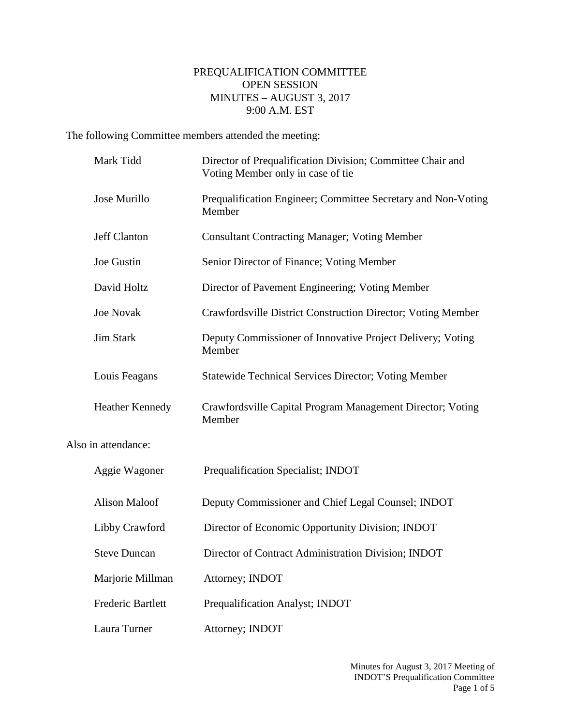## PREQUALIFICATION COMMITTEE OPEN SESSION MINUTES – AUGUST 3, 2017 9:00 A.M. EST

The following Committee members attended the meeting:

|                     | Mark Tidd                | Director of Prequalification Division; Committee Chair and<br>Voting Member only in case of tie |
|---------------------|--------------------------|-------------------------------------------------------------------------------------------------|
|                     | Jose Murillo             | Prequalification Engineer; Committee Secretary and Non-Voting<br>Member                         |
|                     | Jeff Clanton             | <b>Consultant Contracting Manager; Voting Member</b>                                            |
|                     | Joe Gustin               | Senior Director of Finance; Voting Member                                                       |
|                     | David Holtz              | Director of Pavement Engineering; Voting Member                                                 |
|                     | <b>Joe Novak</b>         | Crawfordsville District Construction Director; Voting Member                                    |
|                     | <b>Jim Stark</b>         | Deputy Commissioner of Innovative Project Delivery; Voting<br>Member                            |
|                     | Louis Feagans            | <b>Statewide Technical Services Director; Voting Member</b>                                     |
|                     | <b>Heather Kennedy</b>   | Crawfordsville Capital Program Management Director; Voting<br>Member                            |
| Also in attendance: |                          |                                                                                                 |
|                     | Aggie Wagoner            | Prequalification Specialist; INDOT                                                              |
|                     | <b>Alison Maloof</b>     | Deputy Commissioner and Chief Legal Counsel; INDOT                                              |
|                     | Libby Crawford           | Director of Economic Opportunity Division; INDOT                                                |
|                     | <b>Steve Duncan</b>      | Director of Contract Administration Division; INDOT                                             |
|                     | Marjorie Millman         | Attorney; INDOT                                                                                 |
|                     | <b>Frederic Bartlett</b> | Prequalification Analyst; INDOT                                                                 |
|                     | Laura Turner             | Attorney; INDOT                                                                                 |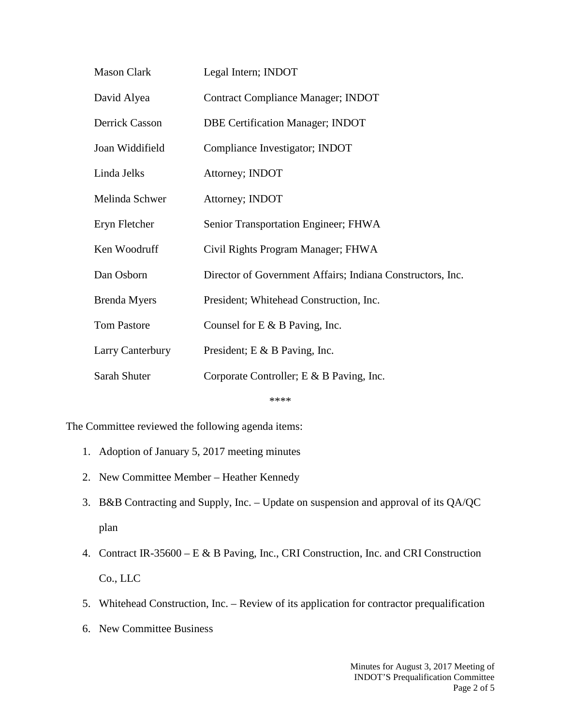| <b>Mason Clark</b>  | Legal Intern; INDOT                                        |
|---------------------|------------------------------------------------------------|
| David Alyea         | <b>Contract Compliance Manager; INDOT</b>                  |
| Derrick Casson      | <b>DBE Certification Manager; INDOT</b>                    |
| Joan Widdifield     | Compliance Investigator; INDOT                             |
| Linda Jelks         | Attorney; INDOT                                            |
| Melinda Schwer      | Attorney; INDOT                                            |
| Eryn Fletcher       | Senior Transportation Engineer; FHWA                       |
| Ken Woodruff        | Civil Rights Program Manager; FHWA                         |
| Dan Osborn          | Director of Government Affairs; Indiana Constructors, Inc. |
| <b>Brenda</b> Myers | President; Whitehead Construction, Inc.                    |
| <b>Tom Pastore</b>  | Counsel for $E \& B$ Paving, Inc.                          |
| Larry Canterbury    | President; E & B Paving, Inc.                              |
| Sarah Shuter        | Corporate Controller; E & B Paving, Inc.                   |
|                     | ****                                                       |

The Committee reviewed the following agenda items:

- 1. Adoption of January 5, 2017 meeting minutes
- 2. New Committee Member Heather Kennedy
- 3. B&B Contracting and Supply, Inc. Update on suspension and approval of its QA/QC plan
- 4. Contract IR-35600 E & B Paving, Inc., CRI Construction, Inc. and CRI Construction Co., LLC
- 5. Whitehead Construction, Inc. Review of its application for contractor prequalification
- 6. New Committee Business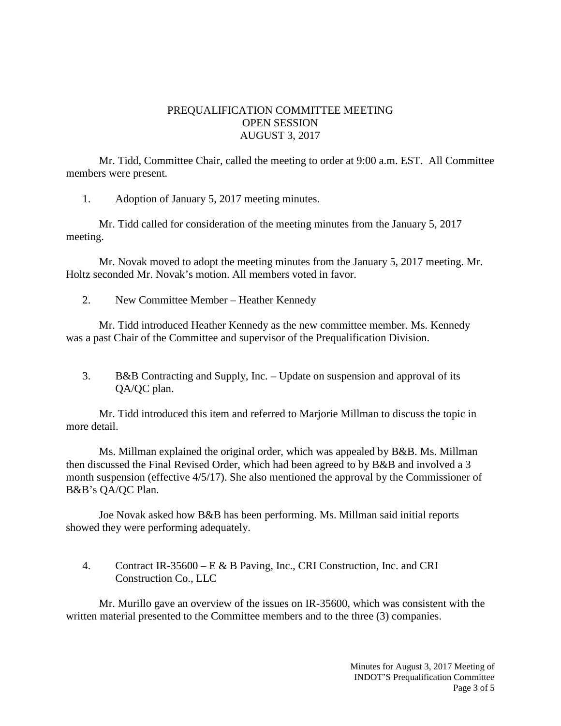## PREQUALIFICATION COMMITTEE MEETING OPEN SESSION AUGUST 3, 2017

Mr. Tidd, Committee Chair, called the meeting to order at 9:00 a.m. EST. All Committee members were present.

1. Adoption of January 5, 2017 meeting minutes.

Mr. Tidd called for consideration of the meeting minutes from the January 5, 2017 meeting.

Mr. Novak moved to adopt the meeting minutes from the January 5, 2017 meeting. Mr. Holtz seconded Mr. Novak's motion. All members voted in favor.

2. New Committee Member – Heather Kennedy

Mr. Tidd introduced Heather Kennedy as the new committee member. Ms. Kennedy was a past Chair of the Committee and supervisor of the Prequalification Division.

3. B&B Contracting and Supply, Inc. – Update on suspension and approval of its QA/QC plan.

Mr. Tidd introduced this item and referred to Marjorie Millman to discuss the topic in more detail.

Ms. Millman explained the original order, which was appealed by B&B. Ms. Millman then discussed the Final Revised Order, which had been agreed to by B&B and involved a 3 month suspension (effective 4/5/17). She also mentioned the approval by the Commissioner of B&B's QA/QC Plan.

Joe Novak asked how B&B has been performing. Ms. Millman said initial reports showed they were performing adequately.

4. Contract IR-35600 – E & B Paving, Inc., CRI Construction, Inc. and CRI Construction Co., LLC

Mr. Murillo gave an overview of the issues on IR-35600, which was consistent with the written material presented to the Committee members and to the three (3) companies.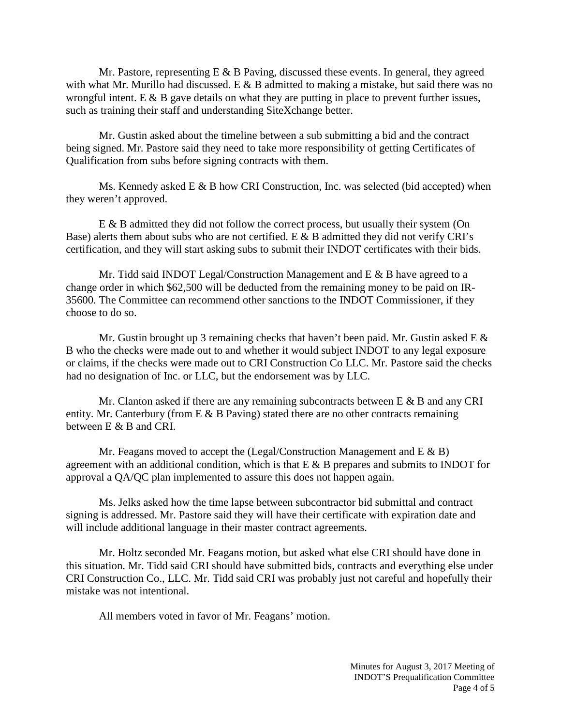Mr. Pastore, representing  $E \& B$  Paving, discussed these events. In general, they agreed with what Mr. Murillo had discussed. E  $\&$  B admitted to making a mistake, but said there was no wrongful intent. E  $\&$  B gave details on what they are putting in place to prevent further issues, such as training their staff and understanding SiteXchange better.

Mr. Gustin asked about the timeline between a sub submitting a bid and the contract being signed. Mr. Pastore said they need to take more responsibility of getting Certificates of Qualification from subs before signing contracts with them.

Ms. Kennedy asked E & B how CRI Construction, Inc. was selected (bid accepted) when they weren't approved.

E & B admitted they did not follow the correct process, but usually their system (On Base) alerts them about subs who are not certified. E  $\&$  B admitted they did not verify CRI's certification, and they will start asking subs to submit their INDOT certificates with their bids.

Mr. Tidd said INDOT Legal/Construction Management and E & B have agreed to a change order in which \$62,500 will be deducted from the remaining money to be paid on IR-35600. The Committee can recommend other sanctions to the INDOT Commissioner, if they choose to do so.

Mr. Gustin brought up 3 remaining checks that haven't been paid. Mr. Gustin asked E  $\&$ B who the checks were made out to and whether it would subject INDOT to any legal exposure or claims, if the checks were made out to CRI Construction Co LLC. Mr. Pastore said the checks had no designation of Inc. or LLC, but the endorsement was by LLC.

Mr. Clanton asked if there are any remaining subcontracts between  $E \& B$  and any CRI entity. Mr. Canterbury (from  $E \& B$  Paving) stated there are no other contracts remaining between E & B and CRI.

Mr. Feagans moved to accept the (Legal/Construction Management and  $E \& B$ ) agreement with an additional condition, which is that  $E \& B$  prepares and submits to INDOT for approval a QA/QC plan implemented to assure this does not happen again.

Ms. Jelks asked how the time lapse between subcontractor bid submittal and contract signing is addressed. Mr. Pastore said they will have their certificate with expiration date and will include additional language in their master contract agreements.

Mr. Holtz seconded Mr. Feagans motion, but asked what else CRI should have done in this situation. Mr. Tidd said CRI should have submitted bids, contracts and everything else under CRI Construction Co., LLC. Mr. Tidd said CRI was probably just not careful and hopefully their mistake was not intentional.

All members voted in favor of Mr. Feagans' motion.